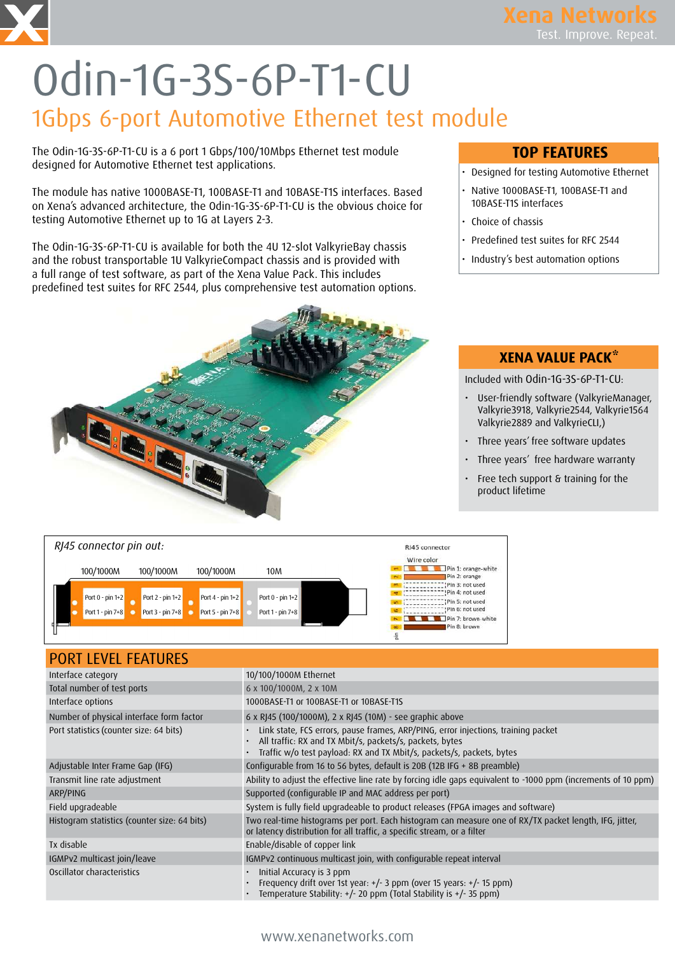# Odin-1G-3S-6P-T1-CU 1Gbps 6-port Automotive Ethernet test module

The Odin-1G-3S-6P-T1-CU is a 6 port 1 Gbps/100/10Mbps Ethernet test module designed for Automotive Ethernet test applications.

The module has native 1000BASE-T1, 100BASE-T1 and 10BASE-T1S interfaces. Based on Xena's advanced architecture, the Odin-1G-3S-6P-T1-CU is the obvious choice for testing Automotive Ethernet up to 1G at Layers 2-3.

The Odin-1G-3S-6P-T1-CU is available for both the 4U 12-slot ValkyrieBay chassis and the robust transportable 1U ValkyrieCompact chassis and is provided with a full range of test software, as part of the Xena Value Pack. This includes predefined test suites for RFC 2544, plus comprehensive test automation options.



### TOP FEATURES

- Designed for testing Automotive Ethernet
- Native 1000BASE-T1, 100BASE-T1 and 10BASE-T1S interfaces
- Choice of chassis
- Predefined test suites for RFC 2544
- Industry's best automation options

### XENA VALUE PACK\*

Included with Odin-1G-3S-6P-T1-CU:

- User-friendly software (ValkyrieManager, Valkyrie3918, Valkyrie2544, Valkyrie1564 Valkyrie2889 and ValkyrieCLI,)
- Three years' free software updates
- Three years' free hardware warranty
- Free tech support & training for the product lifetime



| <b>PORT LEVEL FEATURES</b>                   |                                                                                                                                                                                                                        |
|----------------------------------------------|------------------------------------------------------------------------------------------------------------------------------------------------------------------------------------------------------------------------|
| Interface category                           | 10/100/1000M Ethernet                                                                                                                                                                                                  |
| Total number of test ports                   | 6 x 100/1000M, 2 x 10M                                                                                                                                                                                                 |
| Interface options                            | 1000BASE-T1 or 100BASE-T1 or 10BASE-T1S                                                                                                                                                                                |
| Number of physical interface form factor     | 6 x RJ45 (100/1000M), 2 x RJ45 (10M) - see graphic above                                                                                                                                                               |
| Port statistics (counter size: 64 bits)      | Link state, FCS errors, pause frames, ARP/PING, error injections, training packet<br>All traffic: RX and TX Mbit/s, packets/s, packets, bytes<br>Traffic w/o test payload: RX and TX Mbit/s, packets/s, packets, bytes |
| Adjustable Inter Frame Gap (IFG)             | Configurable from 16 to 56 bytes, default is 20B (12B IFG + 8B preamble)                                                                                                                                               |
| Transmit line rate adjustment                | Ability to adjust the effective line rate by forcing idle gaps equivalent to -1000 ppm (increments of 10 ppm)                                                                                                          |
| ARP/PING                                     | Supported (configurable IP and MAC address per port)                                                                                                                                                                   |
| Field upgradeable                            | System is fully field upgradeable to product releases (FPGA images and software)                                                                                                                                       |
| Histogram statistics (counter size: 64 bits) | Two real-time histograms per port. Each histogram can measure one of RX/TX packet length, IFG, jitter,<br>or latency distribution for all traffic, a specific stream, or a filter                                      |
| Tx disable                                   | Enable/disable of copper link                                                                                                                                                                                          |
| IGMPv2 multicast join/leave                  | IGMPv2 continuous multicast join, with configurable repeat interval                                                                                                                                                    |
| Oscillator characteristics                   | Initial Accuracy is 3 ppm<br>Frequency drift over 1st year: +/- 3 ppm (over 15 years: +/- 15 ppm)<br>Temperature Stability: +/- 20 ppm (Total Stability is +/- 35 ppm)                                                 |

#### www.xenanetworks.com